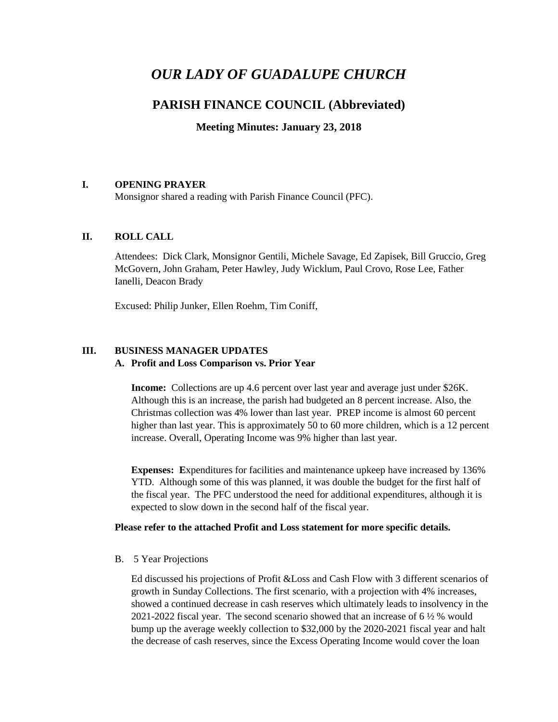# *OUR LADY OF GUADALUPE CHURCH*

## **PARISH FINANCE COUNCIL (Abbreviated)**

**Meeting Minutes: January 23, 2018**

### **I. OPENING PRAYER**

Monsignor shared a reading with Parish Finance Council (PFC).

### **II. ROLL CALL**

Attendees: Dick Clark, Monsignor Gentili, Michele Savage, Ed Zapisek, Bill Gruccio, Greg McGovern, John Graham, Peter Hawley, Judy Wicklum, Paul Crovo, Rose Lee, Father Ianelli, Deacon Brady

Excused: Philip Junker, Ellen Roehm, Tim Coniff,

### **III. BUSINESS MANAGER UPDATES A. Profit and Loss Comparison vs. Prior Year**

**Income:** Collections are up 4.6 percent over last year and average just under \$26K. Although this is an increase, the parish had budgeted an 8 percent increase. Also, the Christmas collection was 4% lower than last year. PREP income is almost 60 percent higher than last year. This is approximately 50 to 60 more children, which is a 12 percent increase. Overall, Operating Income was 9% higher than last year.

**Expenses: E**xpenditures for facilities and maintenance upkeep have increased by 136% YTD. Although some of this was planned, it was double the budget for the first half of the fiscal year. The PFC understood the need for additional expenditures, although it is expected to slow down in the second half of the fiscal year.

### **Please refer to the attached Profit and Loss statement for more specific details.**

B. 5 Year Projections

Ed discussed his projections of Profit &Loss and Cash Flow with 3 different scenarios of growth in Sunday Collections. The first scenario, with a projection with 4% increases, showed a continued decrease in cash reserves which ultimately leads to insolvency in the 2021-2022 fiscal year. The second scenario showed that an increase of 6 ½ % would bump up the average weekly collection to \$32,000 by the 2020-2021 fiscal year and halt the decrease of cash reserves, since the Excess Operating Income would cover the loan